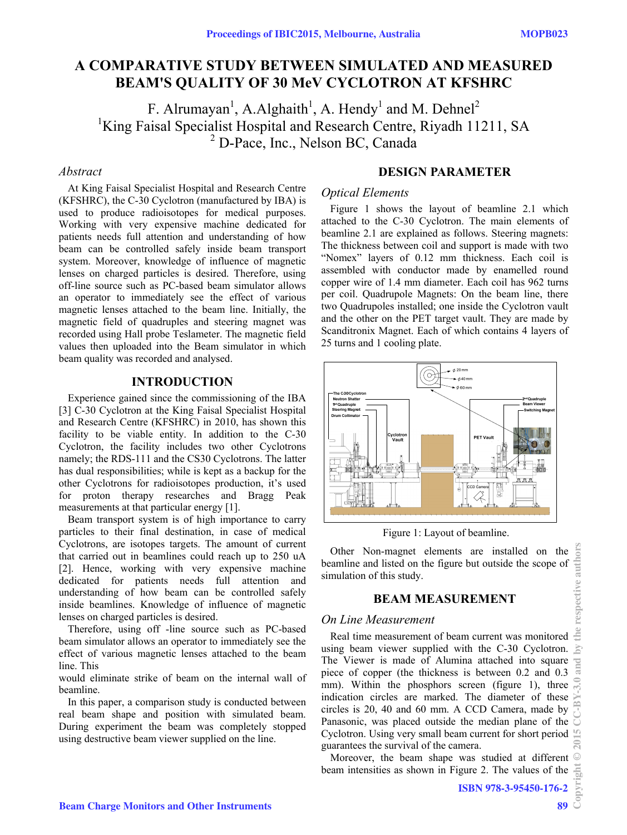# **A COMPARATIVE STUDY BETWEEN SIMULATED AND MEASURED BEAM'S QUALITY OF 30 MeV CYCLOTRON AT KFSHRC**

F. Alrumayan<sup>1</sup>, A.Alghaith<sup>1</sup>, A. Hendy<sup>1</sup> and M. Dehnel<sup>2</sup><br><sup>1</sup>King Faisal Specialist Hospital and Besearch Centre, Biyadh 11<sup>2</sup> <sup>1</sup>King Faisal Specialist Hospital and Research Centre, Riyadh 11211, SA <sup>2</sup> D-Pace, Inc., Nelson BC, Canada

### *Abstract*

At King Faisal Specialist Hospital and Research Centre (KFSHRC), the C-30 Cyclotron (manufactured by IBA) is used to produce radioisotopes for medical purposes. Working with very expensive machine dedicated for patients needs full attention and understanding of how beam can be controlled safely inside beam transport system. Moreover, knowledge of influence of magnetic lenses on charged particles is desired. Therefore, using off-line source such as PC-based beam simulator allows an operator to immediately see the effect of various magnetic lenses attached to the beam line. Initially, the magnetic field of quadruples and steering magnet was recorded using Hall probe Teslameter. The magnetic field values then uploaded into the Beam simulator in which beam quality was recorded and analysed.

### **INTRODUCTION**

Experience gained since the commissioning of the IBA [3] C-30 Cyclotron at the King Faisal Specialist Hospital and Research Centre (KFSHRC) in 2010, has shown this facility to be viable entity. In addition to the C-30 Cyclotron, the facility includes two other Cyclotrons namely; the RDS-111 and the CS30 Cyclotrons. The latter has dual responsibilities; while is kept as a backup for the other Cyclotrons for radioisotopes production, it's used for proton therapy researches and Bragg Peak measurements at that particular energy [1].

Beam transport system is of high importance to carry particles to their final destination, in case of medical Cyclotrons, are isotopes targets. The amount of current that carried out in beamlines could reach up to 250 uA [2]. Hence, working with very expensive machine dedicated for patients needs full attention and understanding of how beam can be controlled safely inside beamlines. Knowledge of influence of magnetic lenses on charged particles is desired.

Therefore, using off -line source such as PC-based beam simulator allows an operator to immediately see the effect of various magnetic lenses attached to the beam line. This

would eliminate strike of beam on the internal wall of beamline.

In this paper, a comparison study is conducted between real beam shape and position with simulated beam. During experiment the beam was completely stopped using destructive beam viewer supplied on the line.

## **DESIGN PARAMETER**

#### *Optical Elements*

Figure 1 shows the layout of beamline 2.1 which attached to the C-30 Cyclotron. The main elements of beamline 2.1 are explained as follows. Steering magnets: The thickness between coil and support is made with two "Nomex" layers of 0.12 mm thickness. Each coil is assembled with conductor made by enamelled round copper wire of 1.4 mm diameter. Each coil has 962 turns per coil. Quadrupole Magnets: On the beam line, there two Quadrupoles installed; one inside the Cyclotron vault and the other on the PET target vault. They are made by Scanditronix Magnet. Each of which contains 4 layers of 25 turns and 1 cooling plate.



Figure 1: Layout of beamline.

Other Non-magnet elements are installed on the beamline and listed on the figure but outside the scope of simulation of this study.

### **BEAM MEASUREMENT**

## *On Line Measurement*

Real time measurement of beam current was monitored using beam viewer supplied with the C-30 Cyclotron. The Viewer is made of Alumina attached into square piece of copper (the thickness is between 0.2 and 0.3 mm). Within the phosphors screen (figure 1), three indication circles are marked. The diameter of these circles is 20, 40 and 60 mm. A CCD Camera, made by Panasonic, was placed outside the median plane of the Cyclotron. Using very small beam current for short period guarantees the survival of the camera.

Moreover, the beam shape was studied at different beam intensities as shown in Figure 2. The values of the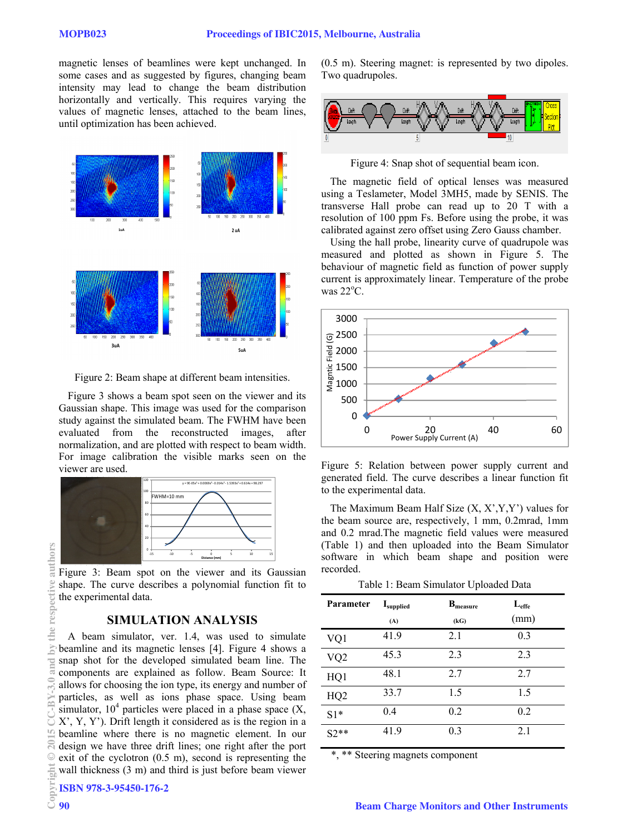magnetic lenses of beamlines were kept unchanged. In some cases and as suggested by figures, changing beam intensity may lead to change the beam distribution horizontally and vertically. This requires varying the values of magnetic lenses, attached to the beam lines, until optimization has been achieved.



Figure 2: Beam shape at different beam intensities.

Figure 3 shows a beam spot seen on the viewer and its Gaussian shape. This image was used for the comparison study against the simulated beam. The FWHM have been evaluated from the reconstructed images, after normalization, and are plotted with respect to beam width. For image calibration the visible marks seen on the viewer are used.



Figure 3: Beam spot on the viewer and its Gaussian shape. The curve describes a polynomial function fit to the experimental data.

### **SIMULATION ANALYSIS**

A beam simulator, ver. 1.4, was used to simulate beamline and its magnetic lenses [4]. Figure 4 shows a snap shot for the developed simulated beam line. The components are explained as follow. Beam Source: It allows for choosing the ion type, its energy and number of particles, as well as ions phase space. Using beam simulator,  $10<sup>4</sup>$  particles were placed in a phase space  $(X, \mathcal{A})$ X', Y, Y'). Drift length it considered as is the region in a beamline where there is no magnetic element. In our design we have three drift lines; one right after the port exit of the cyclotron (0.5 m), second is representing the wall thickness (3 m) and third is just before beam viewer

(0.5 m). Steering magnet: is represented by two dipoles. Two quadrupoles.



Figure 4: Snap shot of sequential beam icon.

The magnetic field of optical lenses was measured using a Teslameter, Model 3MH5, made by SENIS. The transverse Hall probe can read up to 20 T with a resolution of 100 ppm Fs. Before using the probe, it was calibrated against zero offset using Zero Gauss chamber.

Using the hall probe, linearity curve of quadrupole was measured and plotted as shown in Figure 5. The behaviour of magnetic field as function of power supply current is approximately linear. Temperature of the probe was  $22^{\circ}$ C.



Figure 5: Relation between power supply current and generated field. The curve describes a linear function fit to the experimental data.

The Maximum Beam Half Size  $(X, X', Y, Y')$  values for the beam source are, respectively, 1 mm, 0.2mrad, 1mm and 0.2 mrad.The magnetic field values were measured (Table 1) and then uploaded into the Beam Simulator software in which beam shape and position were recorded.

Table 1: Beam Simulator Uploaded Data

| Parameter       | Isupplied | $B_{measure}$ | $L_{\text{eff}}$ |
|-----------------|-----------|---------------|------------------|
|                 | (A)       | (kG)          | (mm)             |
| VQ1             | 41.9      | 2.1           | 0.3              |
| VQ <sub>2</sub> | 45.3      | 2.3           | 2.3              |
| HQ1             | 48.1      | 2.7           | 2.7              |
| HQ <sub>2</sub> | 33.7      | 1.5           | 1.5              |
| $S1*$           | 0.4       | 0.2           | 0.2              |
| $S2**$          | 41.9      | 0.3           | 2.1              |

\*, \*\* Steering magnets component